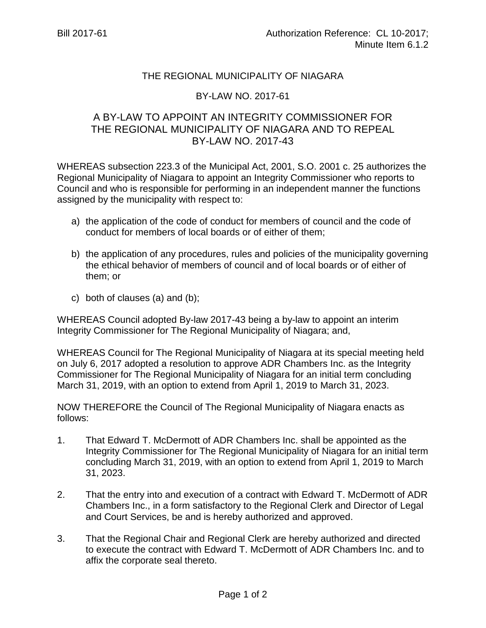## THE REGIONAL MUNICIPALITY OF NIAGARA

## BY-LAW NO. 2017-61

## A BY-LAW TO APPOINT AN INTEGRITY COMMISSIONER FOR THE REGIONAL MUNICIPALITY OF NIAGARA AND TO REPEAL BY-LAW NO. 2017-43

WHEREAS subsection 223.3 of the Municipal Act, 2001, S.O. 2001 c. 25 authorizes the Regional Municipality of Niagara to appoint an Integrity Commissioner who reports to Council and who is responsible for performing in an independent manner the functions assigned by the municipality with respect to:

- a) the application of the code of conduct for members of council and the code of conduct for members of local boards or of either of them;
- b) the application of any procedures, rules and policies of the municipality governing the ethical behavior of members of council and of local boards or of either of them; or
- c) both of clauses (a) and (b);

WHEREAS Council adopted By-law 2017-43 being a by-law to appoint an interim Integrity Commissioner for The Regional Municipality of Niagara; and,

WHEREAS Council for The Regional Municipality of Niagara at its special meeting held on July 6, 2017 adopted a resolution to approve ADR Chambers Inc. as the Integrity Commissioner for The Regional Municipality of Niagara for an initial term concluding March 31, 2019, with an option to extend from April 1, 2019 to March 31, 2023.

NOW THEREFORE the Council of The Regional Municipality of Niagara enacts as follows:

- 1. That Edward T. McDermott of ADR Chambers Inc. shall be appointed as the Integrity Commissioner for The Regional Municipality of Niagara for an initial term concluding March 31, 2019, with an option to extend from April 1, 2019 to March 31, 2023.
- 2. That the entry into and execution of a contract with Edward T. McDermott of ADR Chambers Inc., in a form satisfactory to the Regional Clerk and Director of Legal and Court Services, be and is hereby authorized and approved.
- 3. That the Regional Chair and Regional Clerk are hereby authorized and directed to execute the contract with Edward T. McDermott of ADR Chambers Inc. and to affix the corporate seal thereto.